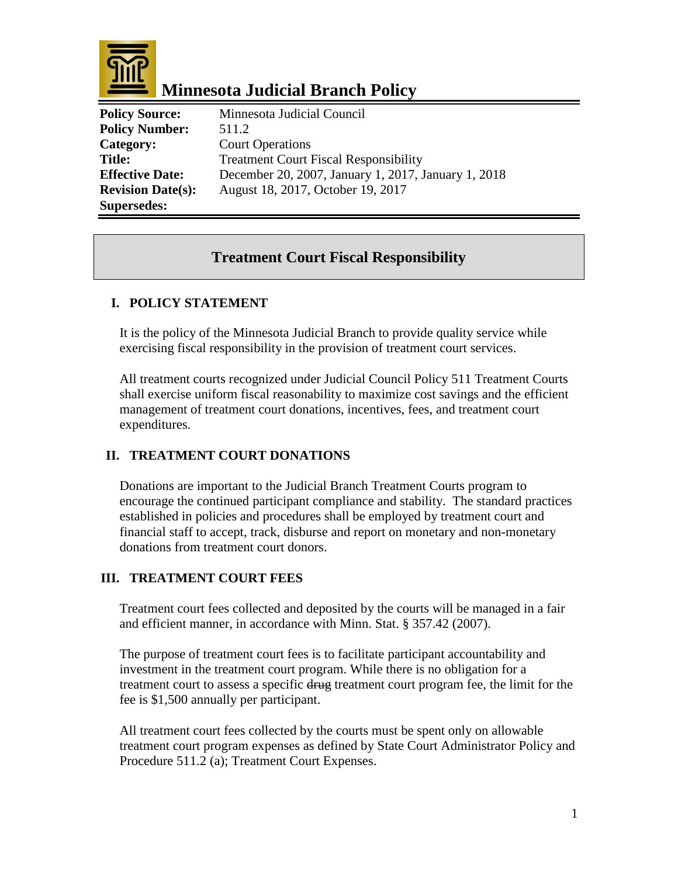

# **Minnesota Judicial Branch Policy**

**Policy Source:** Minnesota Judicial Council **Policy Number:** 511.2 **Category:** Court Operations **Supersedes:** 

**Title:** Treatment Court Fiscal Responsibility **Effective Date:** December 20, 2007, January 1, 2017, January 1, 2018 **Revision Date(s):** August 18, 2017, October 19, 2017

## **Treatment Court Fiscal Responsibility**

## **I. POLICY STATEMENT**

It is the policy of the Minnesota Judicial Branch to provide quality service while exercising fiscal responsibility in the provision of treatment court services.

All treatment courts recognized under Judicial Council Policy 511 Treatment Courts shall exercise uniform fiscal reasonability to maximize cost savings and the efficient management of treatment court donations, incentives, fees, and treatment court expenditures.

## **II. TREATMENT COURT DONATIONS**

Donations are important to the Judicial Branch Treatment Courts program to encourage the continued participant compliance and stability. The standard practices established in policies and procedures shall be employed by treatment court and financial staff to accept, track, disburse and report on monetary and non-monetary donations from treatment court donors.

## **III. TREATMENT COURT FEES**

Treatment court fees collected and deposited by the courts will be managed in a fair and efficient manner, in accordance with Minn. Stat. § 357.42 (2007).

The purpose of treatment court fees is to facilitate participant accountability and investment in the treatment court program. While there is no obligation for a treatment court to assess a specific drug treatment court program fee, the limit for the fee is \$1,500 annually per participant.

All treatment court fees collected by the courts must be spent only on allowable treatment court program expenses as defined by State Court Administrator Policy and Procedure 511.2 (a); Treatment Court Expenses.